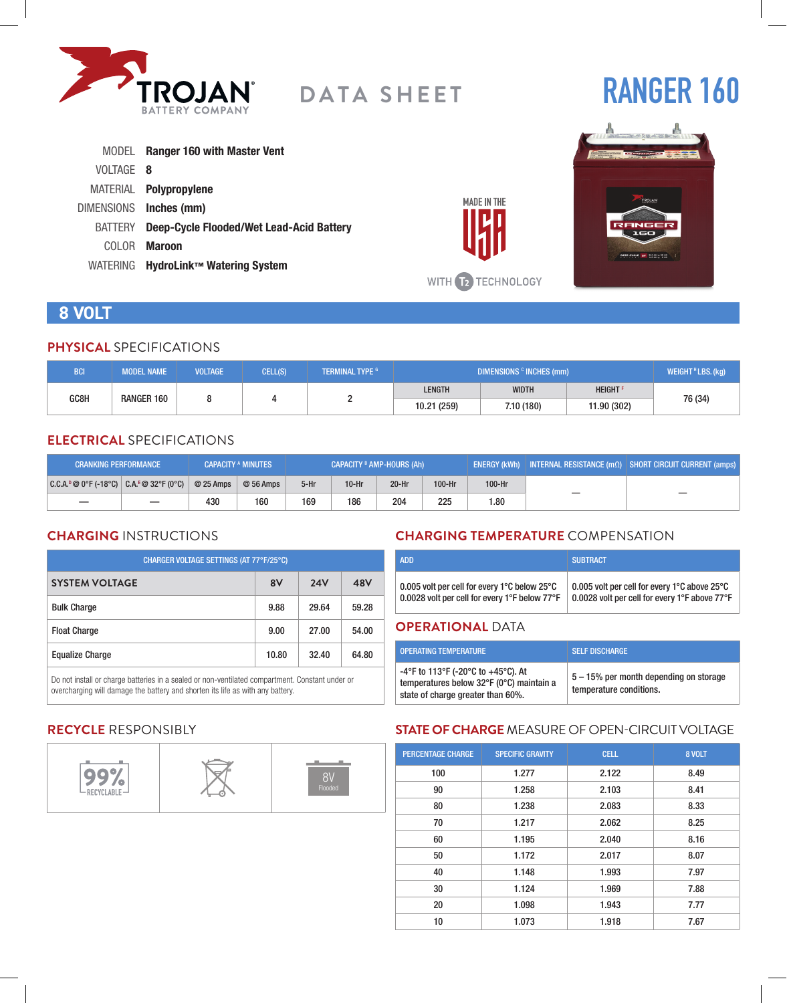

# **RANGER 160**

|           | MODEL Ranger 160 with Master Vent               |
|-----------|-------------------------------------------------|
| VOLTAGE 8 |                                                 |
|           | MATERIAL Polypropylene                          |
|           | DIMENSIONS Inches (mm)                          |
| BATTERY   | <b>Deep-Cycle Flooded/Wet Lead-Acid Battery</b> |
| COLOR.    | Maroon                                          |
|           | WATERING HydroLink™ Watering System             |



# **8 VOLT**

#### **PHYSICAL** SPECIFICATIONS

| <b>BCI</b>         | <b>MODEL NAME</b> | <b>VOLTAGE</b> | CELL(S) | <b>TERMINAL TYPE G</b> | DIMENSIONS <sup>c</sup> INCHES (mm) |              |               | WEIGHT <sup>H</sup> LBS. (kg) |
|--------------------|-------------------|----------------|---------|------------------------|-------------------------------------|--------------|---------------|-------------------------------|
|                    |                   |                |         |                        | LENGTH                              | <b>WIDTH</b> | <b>HEIGHT</b> |                               |
| GC8H<br>RANGER 160 |                   |                |         | 10.21 (259)            | 7.10 (180)                          | 11.90 (302)  | 76 (34)       |                               |

### **ELECTRICAL** SPECIFICATIONS

| <b>CRANKING PERFORMANCE</b>               |           | <b>CAPACITY A MINUTES</b> | <b>CAPACITY <sup>B</sup> AMP-HOURS (Ah)</b> |         |         |        | $\mid$ ENERGY (kWh) $\mid$ INTERNAL RESISTANCE (m $\Omega$ ) $\mid$ SHORT CIRCUIT CURRENT (amps) $\mid$ |   |  |
|-------------------------------------------|-----------|---------------------------|---------------------------------------------|---------|---------|--------|---------------------------------------------------------------------------------------------------------|---|--|
| $ C.C.A.^0@0°F(-18°C)  C.A.^E@32°F(0°C) $ | @ 25 Amps | $@56$ Amps                | $5-Hr$                                      | $10-Hr$ | $20-Hr$ | 100-Hr | 100-Hr                                                                                                  |   |  |
|                                           | 430       | 160                       | 169                                         | 186     | 204     | 225    | 1.80                                                                                                    | — |  |

# **CHARGING** INSTRUCTIONS

| CHARGER VOLTAGE SETTINGS (AT 77°F/25°C) |       |            |       |  |  |
|-----------------------------------------|-------|------------|-------|--|--|
| <b>SYSTEM VOLTAGE</b>                   | 8V    | <b>24V</b> | 48V   |  |  |
| <b>Bulk Charge</b>                      | 9.88  | 29.64      | 59.28 |  |  |
| <b>Float Charge</b>                     | 9.00  | 27.00      | 54.00 |  |  |
| <b>Equalize Charge</b>                  | 10.80 | 32.40      | 64.80 |  |  |

Do not install or charge batteries in a sealed or non-ventilated compartment. Constant under or overcharging will damage the battery and shorten its life as with any battery.

# **CHARGING TEMPERATURE** COMPENSATION

| <b>ADD</b>                                                         | <b>SUBTRACT</b>                               |
|--------------------------------------------------------------------|-----------------------------------------------|
| 0.005 volt per cell for every 1 $^{\circ}$ C below 25 $^{\circ}$ C | 0.005 volt per cell for every 1°C above 25°C  |
| 0.0028 volt per cell for every 1°F below 77°F                      | 0.0028 volt per cell for every 1°F above 77°F |

#### **OPERATIONAL** DATA

**MADE IN THE** 

WITH **12** TECHNOLOGY

| <b>OPERATING TEMPERATURE</b>                                                                                        | <b>SELF DISCHARGE</b>                                             |
|---------------------------------------------------------------------------------------------------------------------|-------------------------------------------------------------------|
| -4°F to 113°F (-20°C to +45°C). At<br>temperatures below 32°F (0°C) maintain a<br>state of charge greater than 60%. | 5 – 15% per month depending on storage<br>temperature conditions. |

# **RECYCLE** RESPONSIBLY



# **STATE OF CHARGE** MEASURE OF OPEN-CIRCUIT VOLTAGE

| <b>PERCENTAGE CHARGE</b> | <b>SPECIFIC GRAVITY</b> | <b>CELL</b> | 8 VOLT |
|--------------------------|-------------------------|-------------|--------|
| 100                      | 1.277                   | 2.122       | 8.49   |
| 90                       | 1.258                   | 2.103       | 8.41   |
| 80                       | 1.238                   | 2.083       | 8.33   |
| 70                       | 1.217                   | 2.062       | 8.25   |
| 60                       | 1.195                   | 2.040       | 8.16   |
| 50                       | 1.172                   | 2.017       | 8.07   |
| 40                       | 1.148                   | 1.993       | 7.97   |
| 30                       | 1.124                   | 1.969       | 7.88   |
| 20                       | 1.098                   | 1.943       | 7.77   |
| 10                       | 1.073                   | 1.918       | 7.67   |